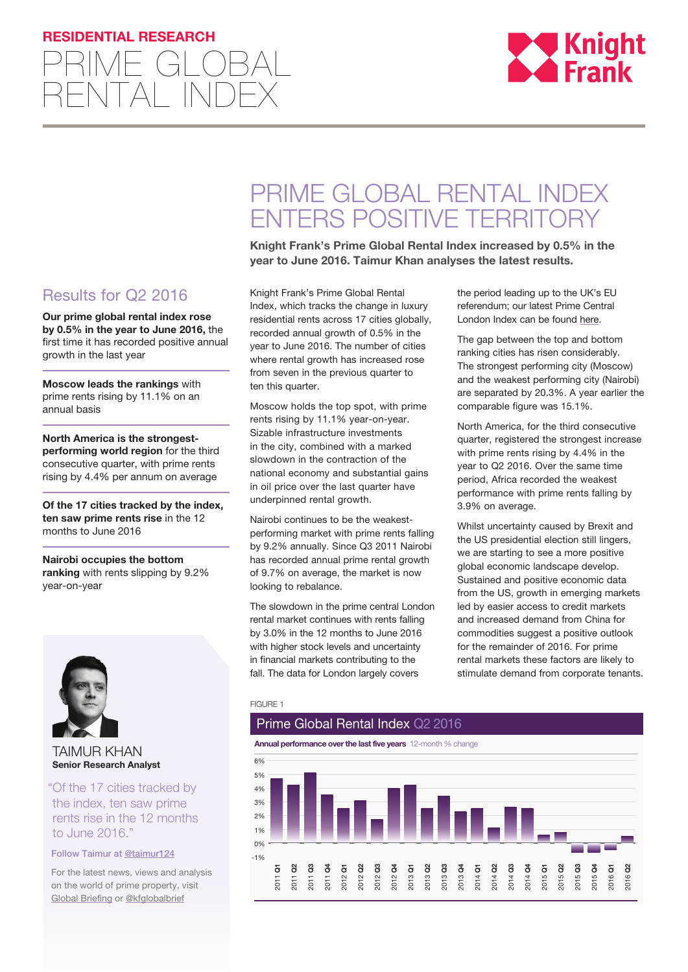## **RESIDENTIAL RESEARCH**





# PRIME GLOBAL RENTAL INDEX ENTERS POSITIVE TERRITORY

**Knight Frank's Prime Global Rental Index increased by 0.5% in the year to June 2016. Taimur Khan analyses the latest results.**

Results for Q2 2016

**Our prime global rental index rose by 0.5% in the year to June 2016,** the first time it has recorded positive annual growth in the last year

**Moscow leads the rankings** with prime rents rising by 11.1% on an annual basis

**North America is the strongestperforming world region** for the third consecutive quarter, with prime rents rising by 4.4% per annum on average

**Of the 17 cities tracked by the index, ten saw prime rents rise** in the 12 months to June 2016

**Nairobi occupies the bottom ranking** with rents slipping by 9.2% year-on-year



TAIMUR KHAN **Senior Research Analyst**

"Of the 17 cities tracked by the index, ten saw prime rents rise in the 12 months to June 2016."

## Follow Taimur at @taimur12[4](https://twitter.com/keverettkf)

For the latest news, views and analysis on the world of prime property, visit Global Briefing or [@kfglobalbrief](https://twitter.com/KFGlobalBrief)

Knight Frank's Prime Global Rental Index, which tracks the change in luxury residential rents across 17 cities globally, recorded annual growth of 0.5% in the year to June 2016. The number of cities where rental growth has increased rose from seven in the previous quarter to ten this quarter.

Moscow holds the top spot, with prime rents rising by 11.1% year-on-year. Sizable infrastructure investments in the city, combined with a marked slowdown in the contraction of the national economy and substantial gains in oil price over the last quarter have underpinned rental growth.

Nairobi continues to be the weakestperforming market with prime rents falling by 9.2% annually. Since Q3 2011 Nairobi has recorded annual prime rental growth of 9.7% on average, the market is now looking to rebalance.

The slowdown in the prime central London rental market continues with rents falling by 3.0% in the 12 months to June 2016 with higher stock levels and uncertainty in financial markets contributing to the fall. The data for London largely covers

the period leading up to the UK's EU referendum; our latest Prime Central London Index can be found [here](http://www.knightfrank.co.uk/research/prime-central-london-rental-index-august-2016-4057.aspx).

The gap between the top and bottom ranking cities has risen considerably. The strongest performing city (Moscow) and the weakest performing city (Nairobi) are separated by 20.3%. A year earlier the comparable figure was 15.1%.

North America, for the third consecutive quarter, registered the strongest increase with prime rents rising by 4.4% in the year to Q2 2016. Over the same time period, Africa recorded the weakest performance with prime rents falling by 3.9% on average.

Whilst uncertainty caused by Brexit and the US presidential election still lingers, we are starting to see a more positive global economic landscape develop. Sustained and positive economic data from the US, growth in emerging markets led by easier access to credit markets and increased demand from China for commodities suggest a positive outlook for the remainder of 2016. For prime rental markets these factors are likely to stimulate demand from corporate tenants.

## FIGURE 1

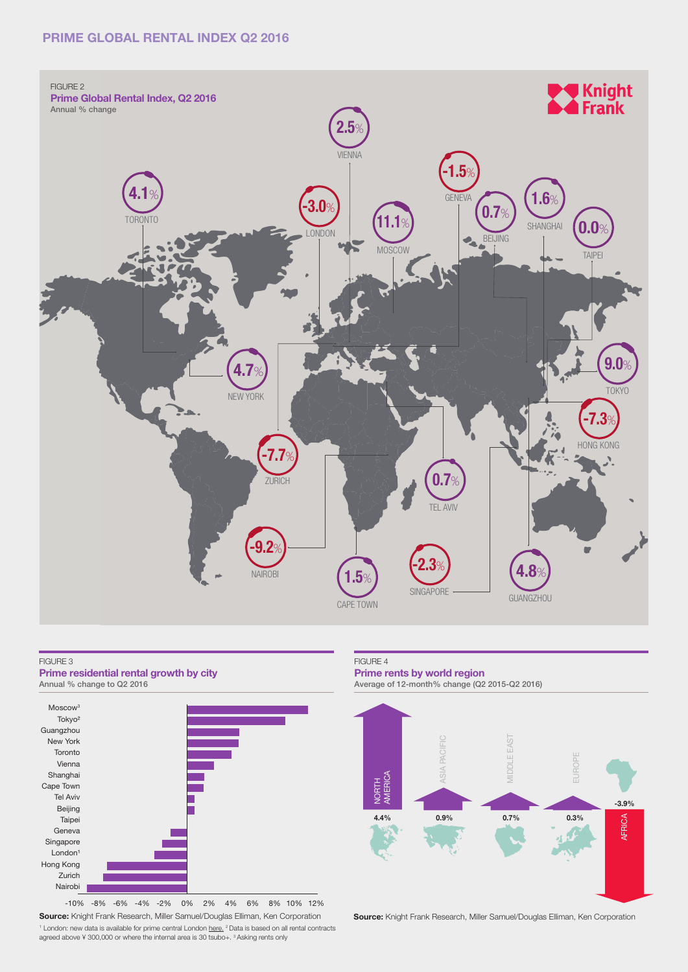## **PRIME GLOBAL RENTAL INDEX Q2 2016**



### FIGURE 3

**Prime residential rental growth by city** 



**Source:** Knight Frank Research, Miller Samuel/Douglas Elliman, Ken Corporation <sup>1</sup> London: new data is available for prime central London [here](http://www.knightfrank.co.uk/research/prime-central-london-rental-index-august-2016-4057.aspx). <sup>2</sup> Data is based on all rental contracts agreed above ¥ 300,000 or where the internal area is 30 tsubo+. <sup>3</sup> Asking rents only -10% -8% -6% -4% -2% 0% 2% 4% 6% 8% 10% 12%

#### FIGURE 4

### **Prime rents by world region**

Average of 12-month% change (Q2 2015-Q2 2016)



**Source:** Knight Frank Research, Miller Samuel/Douglas Elliman, Ken Corporation